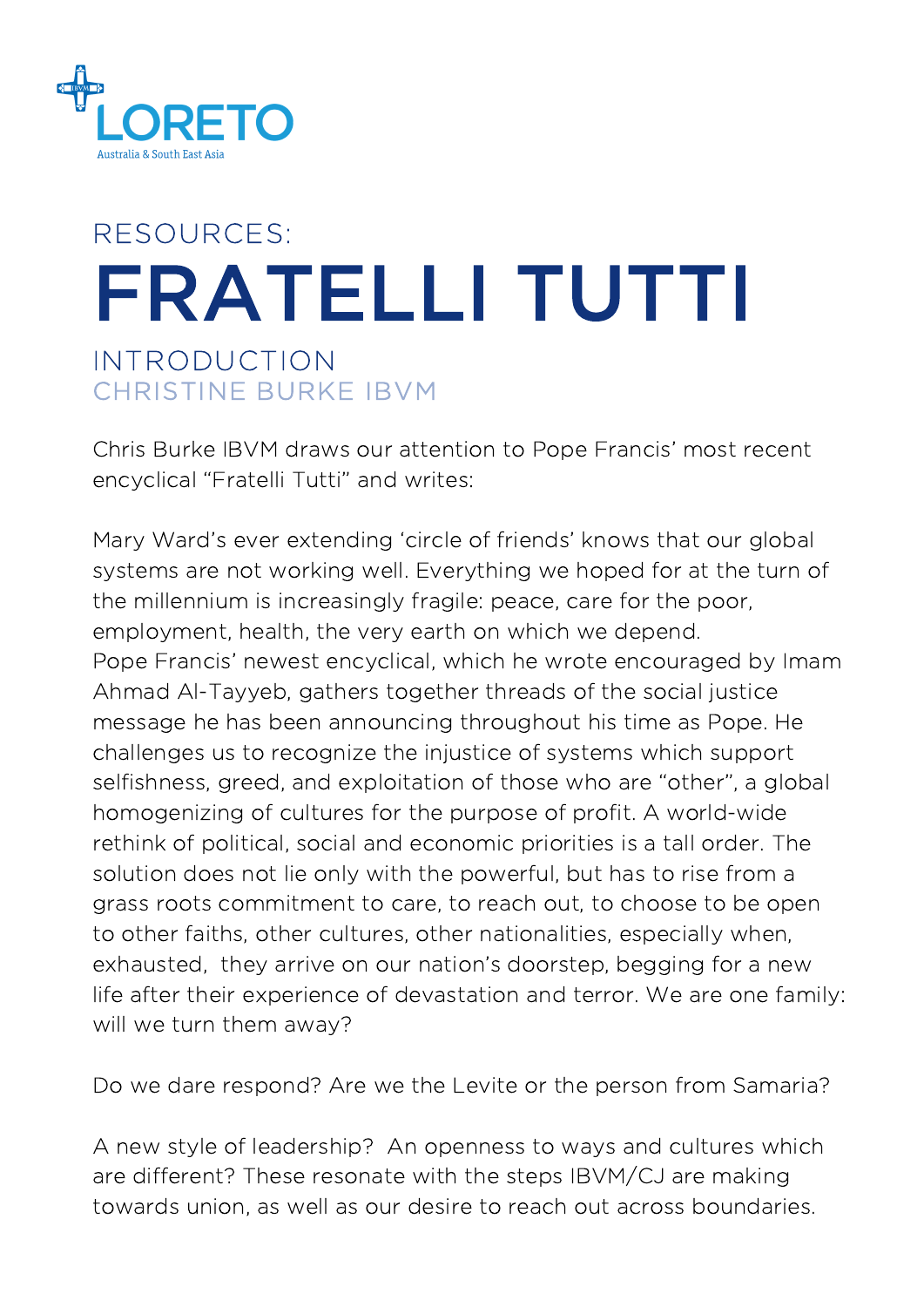

## FRATELLI TUTTI INTRODUCTION RESOURCES: CHRISTINE BURKE IBVM

Chris Burke IBVM draws our attention to Pope Francis' most recent encyclical "Fratelli Tutti" and writes:

Mary Ward's ever extending 'circle of friends' knows that our global systems are not working well. Everything we hoped for at the turn of the millennium is increasingly fragile: peace, care for the poor, employment, health, the very earth on which we depend. Pope Francis' newest encyclical, which he wrote encouraged by Imam Ahmad Al-Tayyeb, gathers together threads of the social justice message he has been announcing throughout his time as Pope. He challenges us to recognize the injustice of systems which support selfishness, greed, and exploitation of those who are "other", a global homogenizing of cultures for the purpose of profit. A world-wide rethink of political, social and economic priorities is a tall order. The solution does not lie only with the powerful, but has to rise from a grass roots commitment to care, to reach out, to choose to be open to other faiths, other cultures, other nationalities, especially when, exhausted, they arrive on our nation's doorstep, begging for a new life after their experience of devastation and terror. We are one family: will we turn them away?

Do we dare respond? Are we the Levite or the person from Samaria?

A new style of leadership? An openness to ways and cultures which are different? These resonate with the steps IBVM/CJ are making towards union, as well as our desire to reach out across boundaries.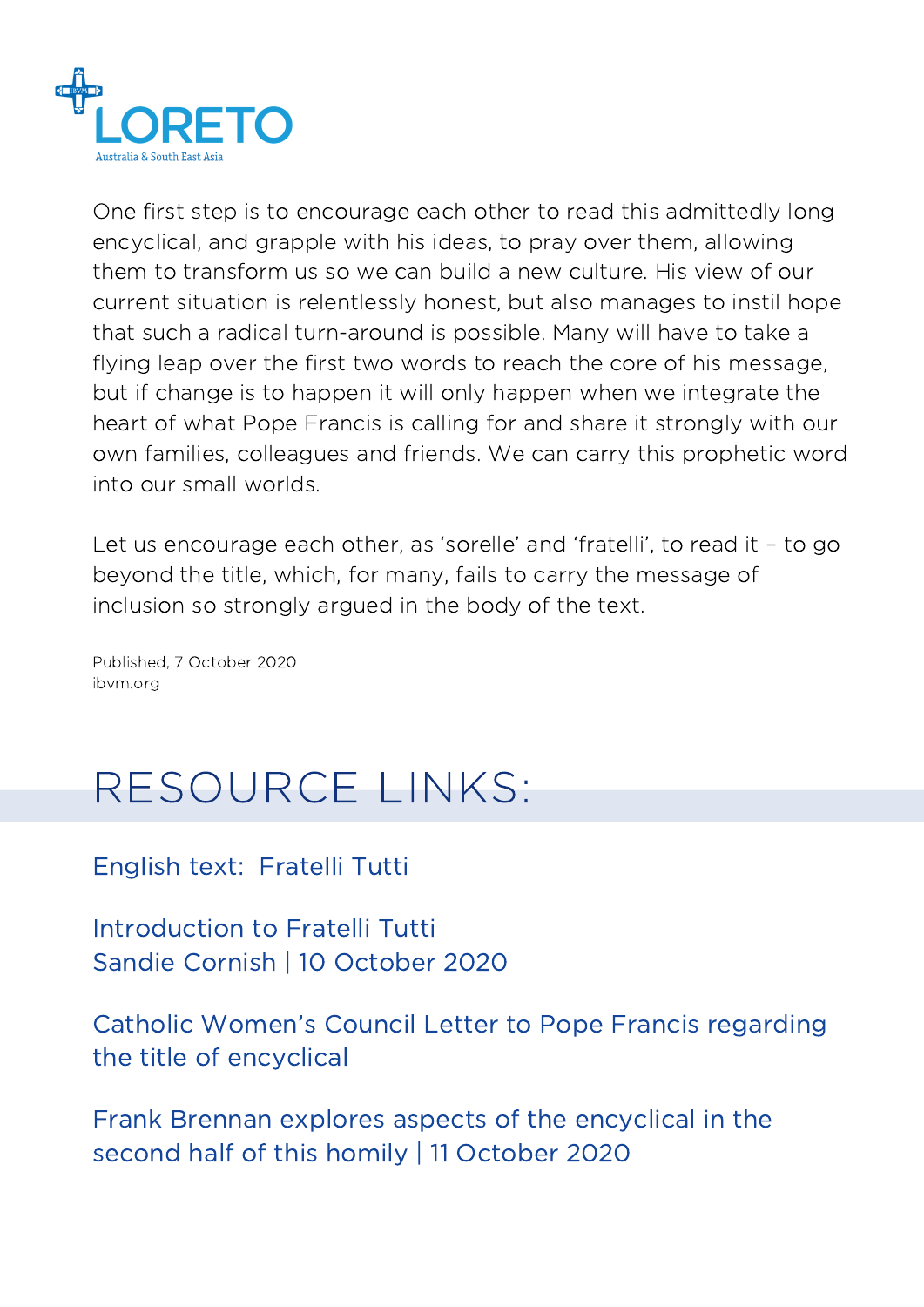

One first step is to encourage each other to read this admittedly long encyclical, and grapple with his ideas, to pray over them, allowing them to transform us so we can build a new culture. His view of our current situation is relentlessly honest, but also manages to instil hope that such a radical turn-around is possible. Many will have to take a flying leap over the first two words to reach the core of his message, but if change is to happen it will only happen when we integrate the heart of what Pope Francis is calling for and share it strongly with our own families, colleagues and friends. We can carry this prophetic word into our small worlds.

Let us encourage each other, as 'sorelle' and 'fratelli', to read it – to go beyond the title, which, for many, fails to carry the message of inclusion so strongly argued in the body of the text.

Published, 7 October 2020 ibvm.org

## RESOURCE LINKS:

[English](http://www.vatican.va/content/francesco/en/encyclicals/documents/papa-francesco_20201003_enciclica-fratelli-tutti.html) text: [Fratelli](http://www.vatican.va/content/francesco/en/encyclicals/documents/papa-francesco_20201003_enciclica-fratelli-tutti.html) Tutti

[Introduction](https://social-spirituality.net/catholic-social-teaching/introduction-to-fratelli-tutti/?fbclid=IwAR3n6BK7eaYtcRHkV8gzj0HbYjGACFxgy9m9pqE5MjymQ9g1H_bsJmlvqi0) to Fratelli Tutti Sandie Cornish | 10 [October](https://social-spirituality.net/catholic-social-teaching/introduction-to-fratelli-tutti/?fbclid=IwAR3n6BK7eaYtcRHkV8gzj0HbYjGACFxgy9m9pqE5MjymQ9g1H_bsJmlvqi0) 2020

Catholic Women's Council Letter to Pope Francis [regarding](https://www.catholicwomenscouncil.org/an-open-letter-to-pope-francis-regarding-the-title-of-the-forthcoming-encyclical-fratelli-tutti/) the title of encyclical

Frank Brennan explores aspects of the [encyclical](https://soundcloud.com/frank-brennan-6/homily-111020?fbclid=IwAR2uADdTUnPUfNq4WHK-q-XzeFLaiOU_9Q1lb2WTrPMxkBECrU_fNAJQKIk) in the second half of this homily | 11 October 2020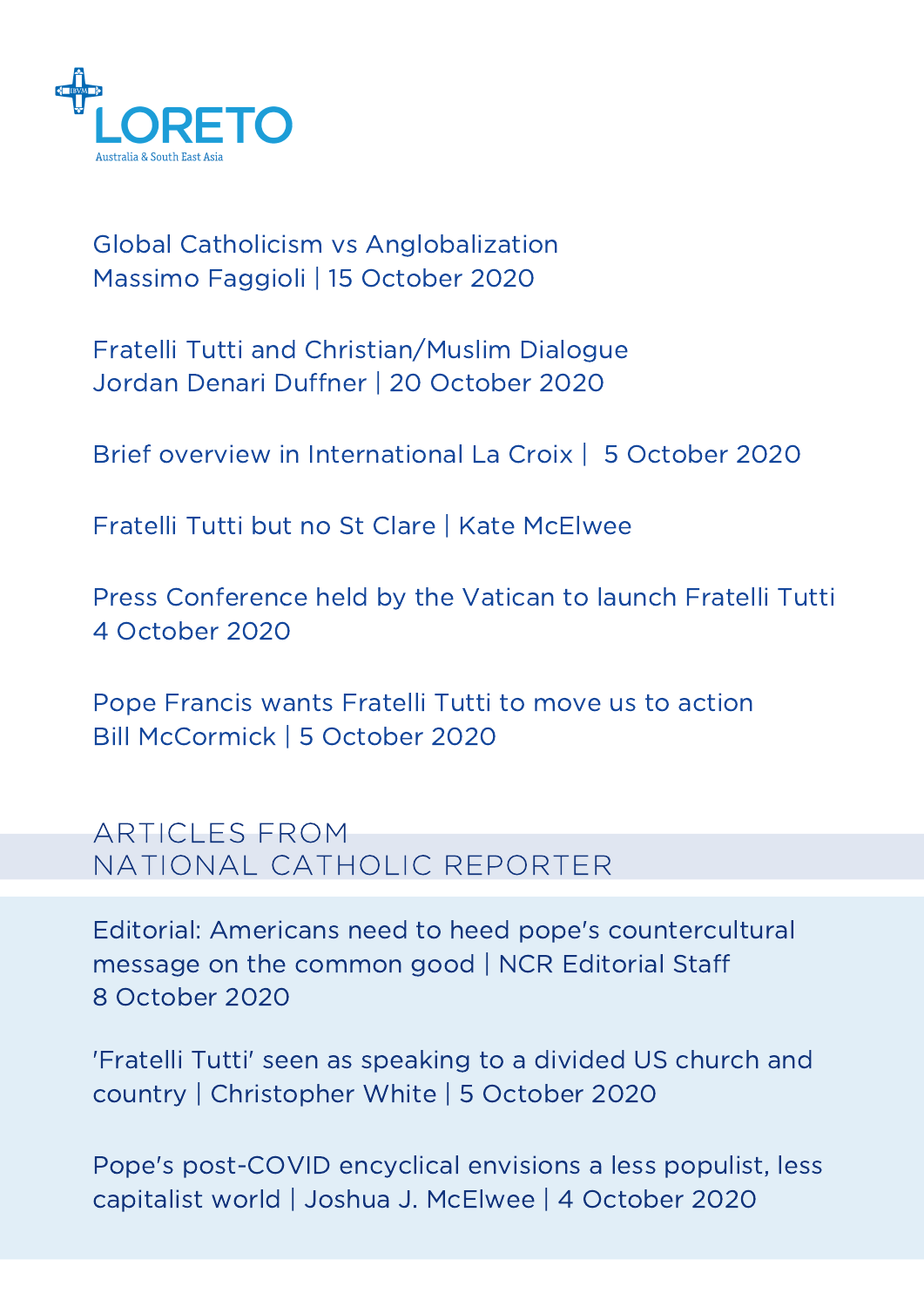

Global Catholicism vs [Anglobalization](https://international.la-croix.com/news/signs-of-the-times/global-catholicism-vs-anglobalization/13179) [Massimo](https://international.la-croix.com/news/signs-of-the-times/global-catholicism-vs-anglobalization/13179) Faggioli | 15 October 2020

Fratelli Tutti and [Christian/Muslim](https://www.ncronline.org/news/opinion/catholic-encounters-muslims-frame-fratelli-tutti) Dialogue Jordan Denari Duffner | 20 [October](https://www.ncronline.org/news/opinion/catholic-encounters-muslims-frame-fratelli-tutti) 2020

Brief overview in [International](https://international.la-croix.com/news/religion/five-keys-to-understanding-the-encyclical-fratelli-tutti/13119?utm_source=NewsLetter&utm_medium=Email&utm_campaign=1006mailjet) La Croix | [5](https://international.la-croix.com/news/religion/five-keys-to-understanding-the-encyclical-fratelli-tutti/13119?utm_source=NewsLetter&utm_medium=Email&utm_campaign=1006mailjet) [October](https://international.la-croix.com/news/religion/five-keys-to-understanding-the-encyclical-fratelli-tutti/13119?utm_source=NewsLetter&utm_medium=Email&utm_campaign=1006mailjet) 2020

Fratelli Tutti but no St Clare | Kate [McElwee](https://myemail.constantcontact.com/Fratelli-Tutti--but-no-St--Clare.html?soid=1101596312859&aid=1bm6tHhL5lA)

Press [Conference](https://www.youtube.com/watch?v=6VsrPbFP3Go) held by the Vatican to launch Fratelli Tutti 4 October 2020

Pope [Francis](https://www.americamagazine.org/faith/2020/10/05/pope-francis-wants-fratelli-tutti-move-us-action-good-samaritan) wants Fratelli Tutti to move us to action Bill [McCormick](https://www.americamagazine.org/faith/2020/10/05/pope-francis-wants-fratelli-tutti-move-us-action-good-samaritan) | 5 October 2020

## ARTICLES FROM NATIONAL CATHOLIC REPORTER

Editorial: Americans need to heed pope's [countercultural](https://www.ncronline.org/news/opinion/editorial-americans-need-heed-popes-countercultural-message-common-good) message on the common good | NCR [Editorial](https://www.ncronline.org/authors/ncr-editorial-staff) Staf[f](https://www.ncronline.org/authors/ncr-editorial-staff) 8 [October](https://www.ncronline.org/news/opinion/editorial-americans-need-heed-popes-countercultural-message-common-good) 2020

['](https://myemail.constantcontact.com/Fratelli-Tutti--but-no-St--Clare.html?soid=1101596312859&aid=1bm6tHhL5lA)Fratelli Tutti' seen as [speaking](https://www.ncronline.org/news/people/fratelli-tutti-seen-speaking-divided-us-church-and-country) to a divided US church and [country](https://www.ncronline.org/news/people/fratelli-tutti-seen-speaking-divided-us-church-and-country) | [Christopher](https://www.ncronline.org/authors/christopher-white) White | 5 [October](https://www.ncronline.org/news/people/fratelli-tutti-seen-speaking-divided-us-church-and-country) 2020

Pope's [post-COVID](https://www.ncronline.org/news/theology/popes-post-covid-encyclical-envisions-less-populist-less-capitalist-world) encyclical envisions a less populist, less [capitalist](https://www.ncronline.org/news/theology/popes-post-covid-encyclical-envisions-less-populist-less-capitalist-world) world | Joshua J. [McElwee](https://www.ncronline.org/authors/joshua-j-mcelwee) | 4 October 2020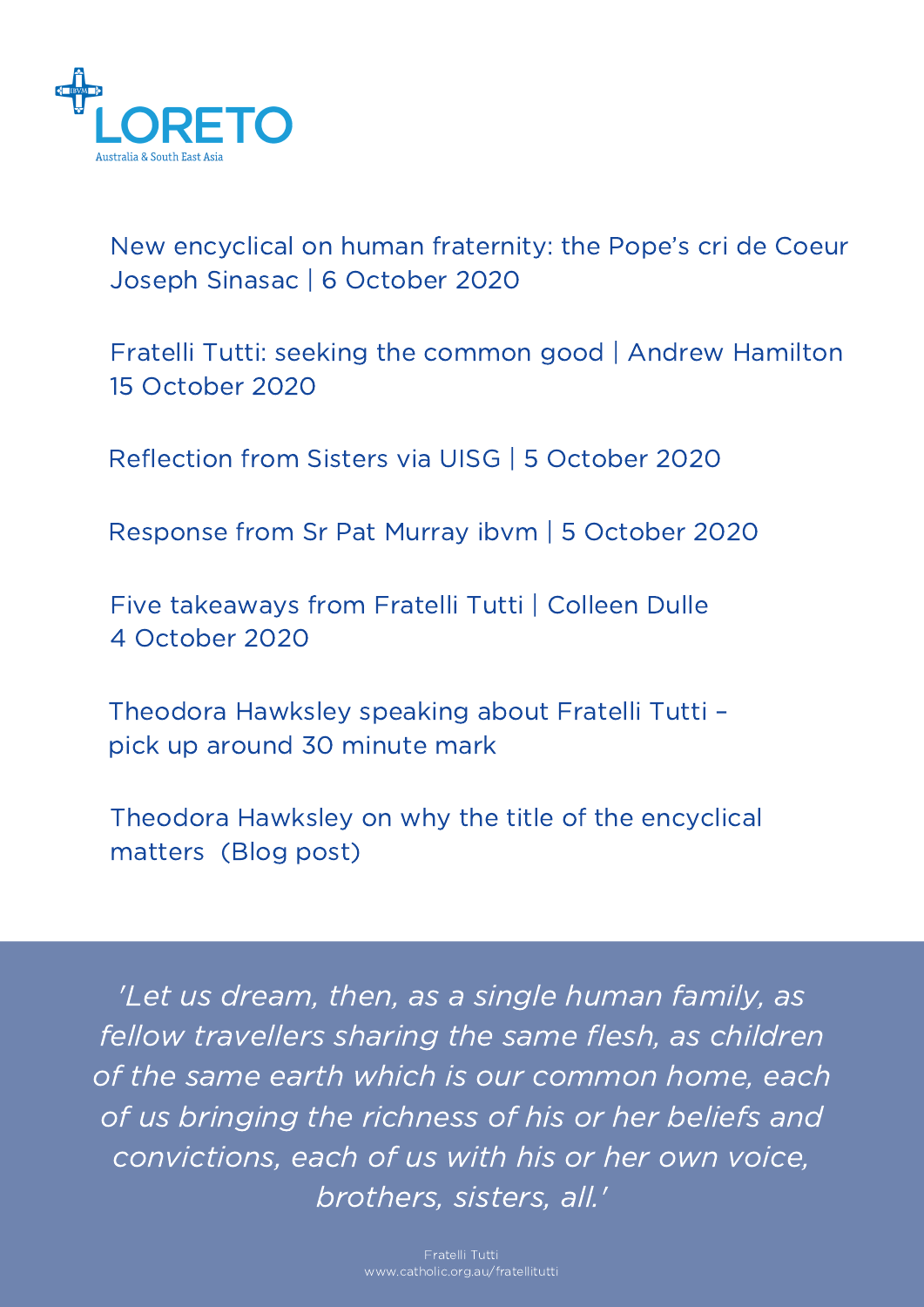

New encyclical on human [fraternity:](https://international.la-croix.com/news/religion/new-encyclical-on-human-fraternity-the-popes-cri-de-coeur/13130?utm_source=NewsLetter&utm_medium=Email&utm_campaign=1008mailjet) the Pope's cri de Coeur Joseph Sinasac | 6 [October](https://international.la-croix.com/news/religion/new-encyclical-on-human-fraternity-the-popes-cri-de-coeur/13130?utm_source=NewsLetter&utm_medium=Email&utm_campaign=1008mailjet) 2020

Fratelli Tutti: seeking the common good | Andrew [Hamilton](https://www.eurekastreet.com.au/article/fratelli-tutti--seeking-the-common-good?utm_medium=email&utm_campaign=Eureka+Street+Weekly+-+Friday+9+October+2020&utm_content=Eureka+Street+Weekly+-+Friday+9+October+2020+CID_830d1ad39b521a06257959898dd5b332&utm_source=Jescom+Newsletters&utm_term=Fratelli+Tutti+seeking+the+common+good) 15 [October](https://www.eurekastreet.com.au/article/fratelli-tutti--seeking-the-common-good?utm_medium=email&utm_campaign=Eureka+Street+Weekly+-+Friday+9+October+2020&utm_content=Eureka+Street+Weekly+-+Friday+9+October+2020+CID_830d1ad39b521a06257959898dd5b332&utm_source=Jescom+Newsletters&utm_term=Fratelli+Tutti+seeking+the+common+good) 2020

[Reflection](http://www.internationalunionsuperiorsgeneral.org/fratelli-tutti-sisters-share-reflections-encyclical/) from Sisters via UISG | 5 October 2020

[Response](http://www.internationalunionsuperiorsgeneral.org/wp-content/uploads/2020/10/Sr.-Patricia-Murray-5102020.pdf) from Sr Pat Murray ibvm | 5 October 2020

Five [takeaways](https://www.youtube.com/watch?v=N_ZhYlXs-Dk&t=2s) from Fratelli Tutti | Colleen Dulle 4 [October](https://www.youtube.com/watch?v=N_ZhYlXs-Dk&t=2s) 2020

[Theodora](https://www.youtube.com/watch?v=4Y0p57lArVw&feature=youtu.be) Hawksley speaking about Fratelli Tutti – pick up around 30 minute mark

Theodora Hawksley on why the title of the [encyclical](https://theodorahawksley.wordpress.com/2020/10/05/why-the-title-matters/) matters [\(Blog](https://theodorahawksley.wordpress.com/2020/10/05/why-the-title-matters/) post)

'Let us dream, then, as a single human family, as fellow travellers sharing the same flesh, as children of the same earth which is our common home, each of us bringing the richness of his or her beliefs and convictions, each of us with his or her own voice, brothers, sisters, all.'